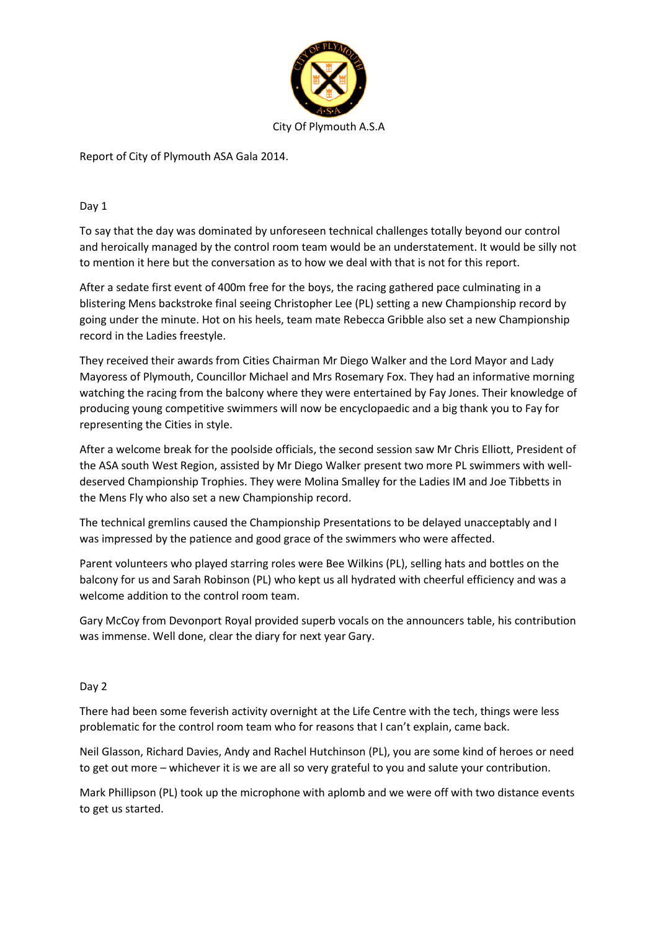

Report of City of Plymouth ASA Gala 2014.

## Day 1

To say that the day was dominated by unforeseen technical challenges totally beyond our control and heroically managed by the control room team would be an understatement. It would be silly not to mention it here but the conversation as to how we deal with that is not for this report.

After a sedate first event of 400m free for the boys, the racing gathered pace culminating in a blistering Mens backstroke final seeing Christopher Lee (PL) setting a new Championship record by going under the minute. Hot on his heels, team mate Rebecca Gribble also set a new Championship record in the Ladies freestyle.

They received their awards from Cities Chairman Mr Diego Walker and the Lord Mayor and Lady Mayoress of Plymouth, Councillor Michael and Mrs Rosemary Fox. They had an informative morning watching the racing from the balcony where they were entertained by Fay Jones. Their knowledge of producing young competitive swimmers will now be encyclopaedic and a big thank you to Fay for representing the Cities in style.

After a welcome break for the poolside officials, the second session saw Mr Chris Elliott, President of the ASA south West Region, assisted by Mr Diego Walker present two more PL swimmers with welldeserved Championship Trophies. They were Molina Smalley for the Ladies IM and Joe Tibbetts in the Mens Fly who also set a new Championship record.

The technical gremlins caused the Championship Presentations to be delayed unacceptably and I was impressed by the patience and good grace of the swimmers who were affected.

Parent volunteers who played starring roles were Bee Wilkins (PL), selling hats and bottles on the balcony for us and Sarah Robinson (PL) who kept us all hydrated with cheerful efficiency and was a welcome addition to the control room team.

Gary McCoy from Devonport Royal provided superb vocals on the announcers table, his contribution was immense. Well done, clear the diary for next year Gary.

## Day 2

There had been some feverish activity overnight at the Life Centre with the tech, things were less problematic for the control room team who for reasons that I can't explain, came back.

Neil Glasson, Richard Davies, Andy and Rachel Hutchinson (PL), you are some kind of heroes or need to get out more – whichever it is we are all so very grateful to you and salute your contribution.

Mark Phillipson (PL) took up the microphone with aplomb and we were off with two distance events to get us started.